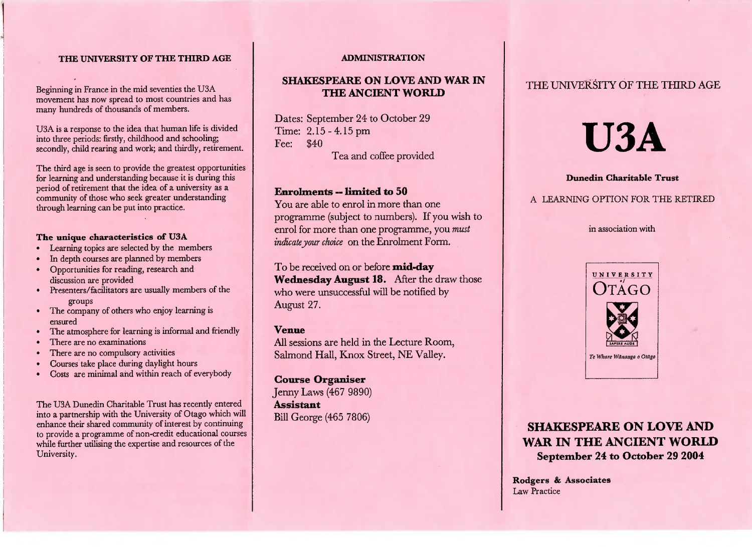#### **THE UNIVERSITY OF THE THIRD AGE**

Beginning in France in the mid seventies the USA movement has now spread to most countries and hasmany hundreds of thousands of members.

USA is a response to the idea that human life is dividednto three periods: firstly, childhood and schooling; econdly, child rearing and work; and thirdly, retirement.

The third age is seen to provide the greatest opportunities for learning and understanding because it is during this period of retirement that the idea of a university as a community of those who seek greater understandingthrough learning can be put into practice.

#### **The unique characteristics of U3A**

- Learning topics are selected by the members
- In depth courses are planned by members
- Opportunities for reading, research anddiscussion are provided
- Presenters/facilitators are usually members of thegroups
- The company of others who enjoy learning isensured
- The atmosphere for learning is informal and friendly
- There are no examinations
- There are no compulsory activities
- Courses take place during daylight hours
- Costs are minimal and within reach of everybody

The USA Dunedin Charitable Trust has recently entered into a partnership with the University of Otago which will enhance their shared community of interest by continuing to provide a programme of non-credit educational courseswhile further utilising the expertise and resources of theUniversity.

#### **ADMINISTRATION**

### **SHAKESPEARE ON LOVE AND WAR INTHE ANCIENT WORLD**

Dates: September 24 to October 29 Time: 2.15-4.15pmFee:  $$40$ **Tea and coffee provided** 

#### **Enrolments — limited to 50**

 You are able to enrol in more than one programme (subject to numbers). If you wish to enrol for more than one programme, you *mustindicate your choice* on the Enrolment Form.

To be received on or before **mid-day Wednesday August 18.** After the draw those who were unsuccessful will be notified byAugust 27.

#### **Venue**

 All sessions are held in the Lecture Room,Salmond Hall, Knox Street, NE Valley.

**Course Organiser** Jenny Laws (467 9890) **Assistant**Bill George (465 7806)

## THE UNIVERSITY OF THE THIRD AGE

# **USA**

#### **Dunedin Charitable Trust**

#### A LEARNING OPTION FOR THE RETIRED

#### n association with



# **SHAKESPEARE ON LOVE AND WAR IN THE ANCIENT WORLDSeptember 24 to October 29 2004**

**Rodgers & Associates**Law Practice